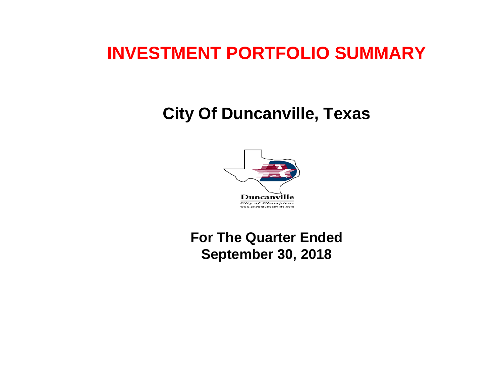# **INVESTMENT PORTFOLIO SUMMARY**

# **City Of Duncanville, Texas**



 **For The Quarter Ended September 30, 2018**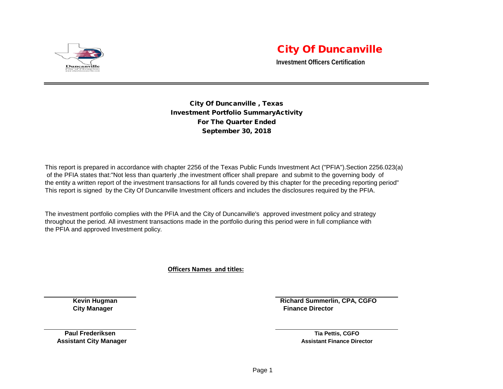

## City Of Duncanville

**Investment Officers Certification**

City Of Duncanville , Texas Investment Portfolio SummaryActivity For The Quarter Ended September 30, 2018

This report is prepared in accordance with chapter 2256 of the Texas Public Funds Investment Act ("PFIA").Section 2256.023(a) of the PFIA states that:"Not less than quarterly ,the investment officer shall prepare and submit to the governing body of the entity a written report of the investment transactions for all funds covered by this chapter for the preceding reporting period" This report is signed by the City Of Duncanville Investment officers and includes the disclosures required by the PFIA.

The investment portfolio complies with the PFIA and the City of Duncanville's approved investment policy and strategy throughout the period. All investment transactions made in the portfolio during this period were in full compliance with the PFIA and approved Investment policy.

**Officers Names and titles:**

**Kevin Hugman Richard Summerlin, CPA, CGFO City Manager Finance Director City Manager Acts and Service Acts and Service Acts and Service Acts and Service Acts and Service Acts and Service Acts and Service Acts and Service Acts and Service Acts and Service Acts and** 

**Paul Frederiksen Tia Pettis, CGFO**

 **Assistant City Manager Assistant Finance Director Assistant Finance Director Assistant Finance Director**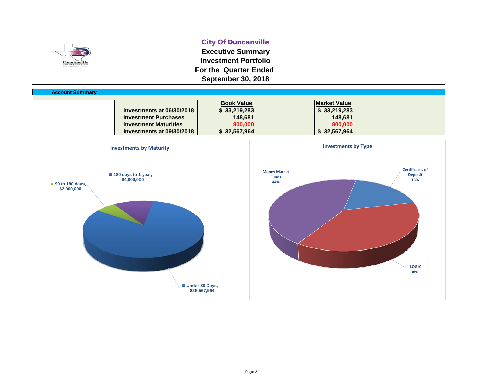

#### City Of Duncanville

**Executive Summary Investment Portfolio For the Quarter Ended September 30, 2018**

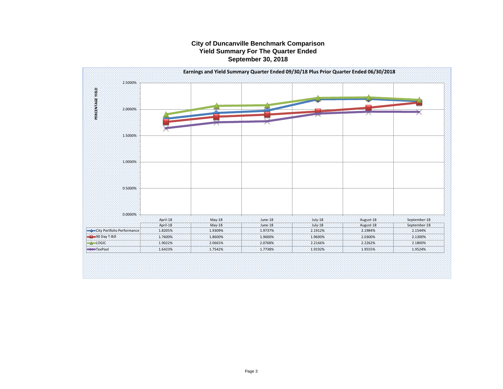#### **City of Duncanville Benchmark Comparison Yield Summary For The Quarter Ended September 30, 2018**

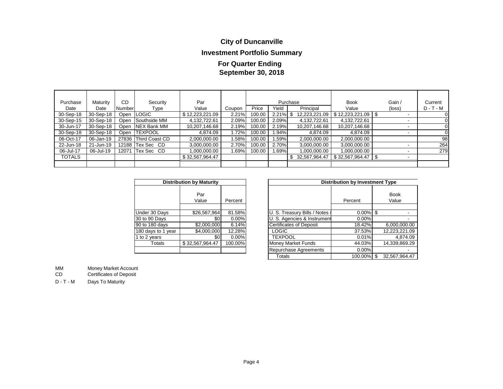### **City of Duncanville**

### **Investment Portfolio Summary**

### **September 30, 2018 For Quarter Ending**

| Purchase      | Maturity  | CD.    | Security             | Par             |        |        |       | Purchase      | <b>Book</b>     | Gain /                   | Current     |
|---------------|-----------|--------|----------------------|-----------------|--------|--------|-------|---------------|-----------------|--------------------------|-------------|
| Date          | Date      | Number | Type                 | Value           | Coupon | Price  | Yield | Principal     | Value           | (loss)                   | $D - T - M$ |
| 30-Sep-18     | 30-Sep-18 |        | Open LOGIC           | \$12,223,221.09 | 2.21%  | 100.00 | 2.21% | 12,223,221.09 | \$12,223,221.09 | $\overline{\phantom{a}}$ |             |
| 30-Sep-15     | 30-Sep-18 |        | Open Southside MM    | 4.132.722.61    | 2.09%  | 100.00 | 2.09% | 4,132,722.61  | 4,132,722.61    | $\overline{\phantom{a}}$ |             |
| 30-Jun-17     | 30-Sep-18 |        | Open INEX Bank MM    | 10,207,146.68   | 2.19%  | 100.00 | 2.19% | 10,207,146.68 | 10,207,146.68   | $\overline{\phantom{a}}$ | 0           |
| 30-Sep-18     | 30-Sep-18 |        | Open <b>TEXPOOL</b>  | 4.874.09        | 1.72%  | 100.00 | 1.94% | 4,874.09      | 4,874.09        | $\overline{\phantom{a}}$ | 0           |
| 06-Oct-17     | 06-Jan-19 |        | 27836 Third Coast CD | 2,000,000.00    | 1.58%  | 100.00 | 1.59% | 2,000,000.00  | 2,000,000.00    |                          | 98          |
| 22-Jun-18     | 21-Jun-19 |        | 12188 Tex Sec CD     | 3,000,000.00    | 2.70%  | 100.00 | 2.70% | 3,000,000.00  | 3,000,000.00    |                          | 264         |
| 06-Jul-17     | 06-Jul-19 | 12071  | Tex Sec CD           | 1,000,000.00    | 1.69%  | 100.00 | 1.69% | 00.000.000.1  | 1.000.000.00    | -                        | 279         |
| <b>TOTALS</b> |           |        |                      | \$32,567,964.47 |        |        |       | 32,567,964.47 | \$32,567,964.47 |                          |             |
|               |           |        |                      |                 |        |        |       |               |                 |                          |             |

| <b>Distribution by Maturity</b> |                 |         |  |  |  |  |  |  |  |  |
|---------------------------------|-----------------|---------|--|--|--|--|--|--|--|--|
|                                 | Par<br>Value    | Percent |  |  |  |  |  |  |  |  |
| Under 30 Days                   | \$26,567,964    | 81.58%  |  |  |  |  |  |  |  |  |
| 30 to 90 Days                   | \$0             | 0.00%   |  |  |  |  |  |  |  |  |
| 90 to 180 days                  | \$2,000,000     | 6.14%   |  |  |  |  |  |  |  |  |
| 180 days to 1 year              | \$4,000,000     | 12.28%  |  |  |  |  |  |  |  |  |
| 1 to 2 years                    | \$0             | 0.00%   |  |  |  |  |  |  |  |  |
| Totals                          | \$32,567,964.47 | 100.00% |  |  |  |  |  |  |  |  |
|                                 |                 |         |  |  |  |  |  |  |  |  |

|                    | <b>Distribution by Maturity</b> |         | <b>Distribution by Investment Type</b> |             |  |                      |  |  |
|--------------------|---------------------------------|---------|----------------------------------------|-------------|--|----------------------|--|--|
|                    | Par<br>Value                    | Percent |                                        | Percent     |  | <b>Book</b><br>Value |  |  |
| Under 30 Days      | \$26,567,964                    | 81.58%  | U. S. Treasury Bills / Notes /         | $0.00\%$ \$ |  |                      |  |  |
| 30 to 90 Days      | \$0                             | 0.00%   | U. S. Agencies & Instrument            | $0.00\%$    |  |                      |  |  |
| 90 to 180 days     | \$2,000,000                     | 6.14%   | <b>Certificates of Deposit</b>         | 18.42%      |  | 6,000,000.00         |  |  |
| 180 days to 1 year | \$4,000,000                     | 12.28%  | <b>LOGIC</b>                           | 37.53%      |  | 12,223,221.09        |  |  |
| 1 to 2 years       | \$0                             | 0.00%   | <b>TEXPOOL</b>                         | 0.01%       |  | 4,874.09             |  |  |
| Totals             | \$32.567.964.47                 | 100.00% | <b>Money Market Funds</b>              | 44.03%      |  | 14,339,869.29        |  |  |
|                    |                                 |         | Repurchase Agreements                  | $0.00\%$    |  |                      |  |  |
|                    |                                 |         | Totals                                 | 100.00% \$  |  | 32.567.964.47        |  |  |

MM Money Market Account<br>CD Certificates of Deposit

Certificates of Deposit

D - T - M Days To Maturity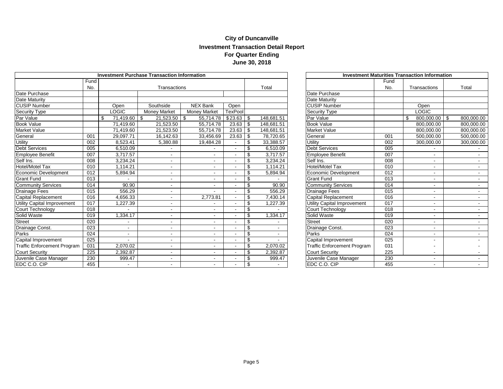#### **City of Duncanville Investment Transaction Detail Report For Quarter Ending June 30, 2018**

|                                    |      |                          | <b>Investment Purchase Transaction Information</b> |                     |                | <b>Investment Maturities Transaction Information</b> |                                    |                  |                     |            |
|------------------------------------|------|--------------------------|----------------------------------------------------|---------------------|----------------|------------------------------------------------------|------------------------------------|------------------|---------------------|------------|
|                                    | Fund |                          |                                                    |                     | Fund           |                                                      |                                    |                  |                     |            |
|                                    | No.  |                          | Transactions                                       |                     |                | Total                                                |                                    | No.              | Transactions        | Total      |
| Date Purchase                      |      |                          |                                                    |                     |                |                                                      | Date Purchase                      |                  |                     |            |
| Date Maturity                      |      |                          |                                                    |                     |                |                                                      | Date Maturity                      |                  |                     |            |
| <b>CUSIP Number</b>                |      | Open                     | Southside                                          | <b>NEX Bank</b>     | Open           |                                                      | <b>CUSIP Number</b>                |                  | Open                |            |
| Security Type                      |      | <b>LOGIC</b>             | <b>Money Market</b>                                | <b>Money Market</b> | <b>TexPool</b> |                                                      | <b>Security Type</b>               |                  | <b>LOGIC</b>        |            |
| Par Value                          |      | 71,419.60                | 21,523.50<br>\$                                    | 55,714.78<br>-\$    | $$23.63$ \\$   | 148,681.51                                           | Par Value                          |                  | 800,000.00 \$<br>\$ | 800,000.00 |
| <b>Book Value</b>                  |      | 71,419.60                | 21,523.50                                          | 55,714.78           | 23.63          | \$<br>148.681.51                                     | <b>Book Value</b>                  |                  | 800,000.00          | 800,000.00 |
| Market Value                       |      | 71,419.60                | 21,523.50                                          | 55,714.78           | 23.63          | \$<br>148,681.51                                     | <b>Market Value</b>                |                  | 800,000.00          | 800,000.00 |
| General                            | 001  | 29.097.71                | 16,142.63                                          | 33,456.69           | 23.63          | \$<br>78,720.65                                      | General                            | 001              | 500.000.00          | 500,000.00 |
| <b>Utility</b>                     | 002  | 8,523.41                 | 5,380.88                                           | 19,484.28           |                | \$<br>33,388.57                                      | Utility                            | 002              | 300,000.00          | 300,000.00 |
| Debt Services                      | 005  | 6,510.09                 |                                                    |                     |                | \$<br>6,510.09                                       | <b>Debt Services</b>               | 005              |                     |            |
| Employee Benefit                   | 007  | 3.717.57                 |                                                    |                     |                | \$<br>3,717.57                                       | <b>Employee Benefit</b>            | 007              |                     | $\sim$     |
| Self Ins.                          | 008  | 3.234.24                 |                                                    |                     |                | \$<br>3,234.24                                       | Self Ins.                          | 008              |                     |            |
| <b>Hotel/Motel Tax</b>             | 010  | 1,114.21                 | $\overline{\phantom{0}}$                           |                     |                | \$<br>1,114.21                                       | Hotel/Motel Tax                    | 010              |                     |            |
| Economic Development               | 012  | 5,894.94                 | $\overline{\phantom{0}}$                           |                     |                | \$<br>5,894.94                                       | <b>Economic Development</b>        | 012              |                     | $\sim$     |
| <b>Grant Fund</b>                  | 013  |                          | $\overline{\phantom{0}}$                           |                     |                | \$                                                   | <b>Grant Fund</b>                  | 013              |                     | $\sim$     |
| Community Services                 | 014  | 90.90                    | -                                                  |                     |                | \$<br>90.90                                          | <b>Community Services</b>          | 014              |                     | $\sim$     |
| <b>Drainage Fees</b>               | 015  | 556.29                   | $\overline{\phantom{0}}$                           |                     |                | \$<br>556.29                                         | Drainage Fees                      | 015              |                     | $\sim$     |
| Capital Replacement                | 016  | 4,656.33                 |                                                    | 2,773.81            |                | \$<br>7,430.14                                       | <b>Capital Replacement</b>         | 016              |                     |            |
| <b>Utility Capital Improvement</b> | 017  | ,227.39                  |                                                    |                     |                | \$<br>1,227.39                                       | <b>Utility Capital Improvement</b> | 017              |                     | $\sim$     |
| Court Technology                   | 018  |                          | -                                                  |                     |                | \$                                                   | Court Technology                   | 018              |                     | $\sim$     |
| Solid Waste                        | 019  | 1.334.17                 |                                                    |                     |                | \$<br>1.334.17                                       | Solid Waste                        | 019              |                     | $\sim$     |
| <b>Street</b>                      | 020  |                          | $\overline{\phantom{0}}$                           |                     |                | \$                                                   | <b>Street</b>                      | 020              |                     | $\sim$     |
| Drainage Const.                    | 023  | $\overline{\phantom{0}}$ |                                                    |                     |                | \$                                                   | Drainage Const.                    | 023              |                     |            |
| Parks                              | 024  | $\sim$                   | ٠.                                                 |                     |                | \$                                                   | Parks                              | $\overline{024}$ |                     | $\sim$     |
| Capital Improvement                | 025  |                          | $\overline{\phantom{0}}$                           |                     |                | \$                                                   | Capital Improvement                | 025              |                     |            |
| Traffic Enforcement Program        | 031  | 2.070.02                 | $\overline{\phantom{0}}$                           |                     |                | \$<br>2,070.02                                       | <b>Traffic Enforcement Program</b> | 031              |                     |            |
| <b>Court Security</b>              | 225  | 2,392.87                 | $\overline{\phantom{0}}$                           |                     |                | \$<br>2,392.87                                       | <b>Court Security</b>              | 225              |                     |            |
| Juvenile Case Manager              | 230  | 999.47                   | $\overline{\phantom{0}}$                           |                     |                | \$<br>999.47                                         | Juvenile Case Manager              | 230              |                     | $\sim$     |
| EDC C.O. CIP                       | 455  |                          |                                                    |                     |                | \$                                                   | EDC C.O. CIP                       | 455              |                     |            |

| <b>Investment Maturities Transaction Information</b> |                  |                          |                  |  |  |  |  |  |  |  |
|------------------------------------------------------|------------------|--------------------------|------------------|--|--|--|--|--|--|--|
|                                                      | Fund             |                          |                  |  |  |  |  |  |  |  |
|                                                      | No.              | Transactions             | Total            |  |  |  |  |  |  |  |
| Date Purchase                                        |                  |                          |                  |  |  |  |  |  |  |  |
| Date Maturity                                        |                  |                          |                  |  |  |  |  |  |  |  |
| <b>CUSIP Number</b>                                  |                  | Open                     |                  |  |  |  |  |  |  |  |
| Security Type                                        |                  | <b>LOGIC</b>             |                  |  |  |  |  |  |  |  |
| Par Value                                            |                  | \$<br>800,000.00         | \$<br>800,000.00 |  |  |  |  |  |  |  |
| <b>Book Value</b>                                    |                  | 800,000.00               | 800,000.00       |  |  |  |  |  |  |  |
| <b>Market Value</b>                                  |                  | 800,000.00               | 800,000.00       |  |  |  |  |  |  |  |
| General                                              | 001              | 500,000.00               | 500,000.00       |  |  |  |  |  |  |  |
| Utility                                              | 002              | 300,000.00               | 300,000.00       |  |  |  |  |  |  |  |
| <b>Debt Services</b>                                 | 005              |                          |                  |  |  |  |  |  |  |  |
| Employee Benefit                                     | 007              |                          |                  |  |  |  |  |  |  |  |
| Self Ins.                                            | 008              | $\overline{\phantom{a}}$ |                  |  |  |  |  |  |  |  |
| Hotel/Motel Tax                                      | 010              |                          |                  |  |  |  |  |  |  |  |
| <b>Economic Development</b>                          | 012              |                          |                  |  |  |  |  |  |  |  |
| <b>Grant Fund</b>                                    | 013              |                          |                  |  |  |  |  |  |  |  |
| <b>Community Services</b>                            | $\overline{014}$ |                          |                  |  |  |  |  |  |  |  |
| <b>Drainage Fees</b>                                 | 015              |                          |                  |  |  |  |  |  |  |  |
| <b>Capital Replacement</b>                           | 016              | $\blacksquare$           | $\blacksquare$   |  |  |  |  |  |  |  |
| <b>Utility Capital Improvement</b>                   | 017              |                          |                  |  |  |  |  |  |  |  |
| Court Technology                                     | 018              |                          |                  |  |  |  |  |  |  |  |
| Solid Waste                                          | 019              |                          |                  |  |  |  |  |  |  |  |
| <b>Street</b>                                        | 020              |                          |                  |  |  |  |  |  |  |  |
| Drainage Const.                                      | 023              | $\overline{\phantom{a}}$ |                  |  |  |  |  |  |  |  |
| Parks                                                | 024              |                          |                  |  |  |  |  |  |  |  |
| Capital Improvement                                  | 025              |                          |                  |  |  |  |  |  |  |  |
| <b>Traffic Enforcement Program</b>                   | 031              |                          |                  |  |  |  |  |  |  |  |
| <b>Court Security</b>                                | 225              |                          |                  |  |  |  |  |  |  |  |
| Juvenile Case Manager                                | 230              |                          |                  |  |  |  |  |  |  |  |
| EDC C.O. CIP                                         | 455              |                          |                  |  |  |  |  |  |  |  |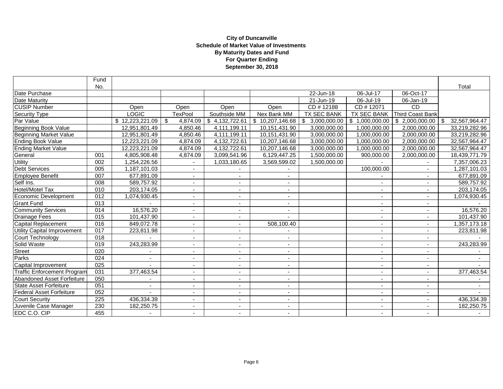#### **September 30, 2018 City of Duncanville Schedule of Market Value of Investments By Maturity Dates and Fund For Quarter Ending**

|                                    | Fund             |                          |                          |                          |                            |                        |                          |                          |                     |
|------------------------------------|------------------|--------------------------|--------------------------|--------------------------|----------------------------|------------------------|--------------------------|--------------------------|---------------------|
|                                    | No.              |                          |                          |                          |                            |                        |                          |                          | Total               |
| Date Purchase                      |                  |                          |                          |                          |                            | 22-Jun-18              | 06-Jul-17                | 06-Oct-17                |                     |
| Date Maturity                      |                  |                          |                          |                          |                            | 21-Jun-19              | 06-Jul-19                | 06-Jan-19                |                     |
| <b>CUSIP Number</b>                |                  | Open                     | Open                     | Open                     | Open                       | $\overline{CD#}$ 12188 | CD #12071                | <b>CD</b>                |                     |
| Security Type                      |                  | <b>LOGIC</b>             | <b>TexPool</b>           | Southside MM             | Nex Bank MM                | <b>TX SEC BANK</b>     | TX SEC BANK              | Third Coast Bank         |                     |
| Par Value                          |                  | \$12,223,221.09          | \$<br>4,874.09           | \$4,132,722.61           | $\overline{10,207,146.68}$ | \$<br>3,000,000.00     | \$1,000,000.00           | \$ 2,000,000.00          | 32,567,964.47<br>\$ |
| <b>Beginning Book Value</b>        |                  | 12,951,801.49            | 4,850.46                 | 4,111,199.11             | 10,151,431.90              | 3,000,000.00           | 1,000,000.00             | 2,000,000.00             | 33,219,282.96       |
| <b>Beginning Market Value</b>      |                  | 12,951,801.49            | 4,850.46                 | 4,111,199.11             | 10,151,431.90              | 3,000,000.00           | 1,000,000.00             | 2,000,000.00             | 33,219,282.96       |
| <b>Ending Book Value</b>           |                  | 12,223,221.09            | 4,874.09                 | 4,132,722.61             | 10,207,146.68              | 3,000,000.00           | 1,000,000.00             | 2,000,000.00             | 32,567,964.47       |
| <b>Ending Market Value</b>         |                  | 12,223,221.09            | 4,874.09                 | 4,132,722.61             | 10,207,146.68              | 3,000,000.00           | 1,000,000.00             | 2,000,000.00             | 32,567,964.47       |
| General                            | 001              | 4,805,908.48             | 4,874.09                 | 3,099,541.96             | 6,129,447.25               | 1,500,000.00           | 900,000.00               | 2,000,000.00             | 18,439,771.79       |
| <b>Utility</b>                     | 002              | 1,254,226.56             | $\blacksquare$           | 1,033,180.65             | 3,569,599.02               | 1,500,000.00           |                          |                          | 7,357,006.23        |
| Debt Services                      | 005              | 1,187,101.03             | $\overline{\phantom{a}}$ |                          |                            |                        | 100,000.00               | $\overline{\phantom{a}}$ | 1,287,101.03        |
| Employee Benefit                   | 007              | 677,891.09               | $\sim$                   |                          | $\sim$                     |                        |                          | $\overline{\phantom{a}}$ | 677,891.09          |
| Self Ins.                          | 008              | 589,757.92               | $\overline{\phantom{a}}$ |                          |                            |                        | $\blacksquare$           |                          | 589,757.92          |
| <b>Hotel/Motel Tax</b>             | 010              | 203,174.05               | $\overline{\phantom{a}}$ |                          | $\overline{\phantom{a}}$   |                        | $\overline{\phantom{a}}$ |                          | 203,174.05          |
| Economic Development               | 012              | 1,074,930.45             | $\overline{\phantom{a}}$ |                          | $\overline{\phantom{a}}$   |                        | $\overline{\phantom{a}}$ | ٠                        | 1,074,930.45        |
| <b>Grant Fund</b>                  | 013              |                          |                          |                          | $\blacksquare$             |                        | $\overline{\phantom{a}}$ | ٠                        |                     |
| <b>Community Services</b>          | 014              | 16,576.20                | $\sim$                   |                          |                            |                        | ٠                        | $\overline{a}$           | 16,576.20           |
| <b>Drainage Fees</b>               | 015              | 101,437.90               | $\sim$                   |                          |                            |                        | ۰.                       | $\overline{\phantom{a}}$ | 101,437.90          |
| Capital Replacement                | 016              | 849,072.78               | $\sim$                   |                          | 508,100.40                 |                        | $\overline{\phantom{a}}$ | $\blacksquare$           | 1,357,173.18        |
| Utility Capital Improvement        | 017              | 223,811.98               | $\blacksquare$           |                          |                            |                        | ٠                        | $\blacksquare$           | 223,811.98          |
| Court Technology                   | 018              |                          | $\blacksquare$           |                          |                            |                        | $\blacksquare$           |                          |                     |
| Solid Waste                        | 019              | 243,283.99               | $\overline{\phantom{a}}$ |                          | $\overline{\phantom{a}}$   |                        | $\overline{\phantom{a}}$ |                          | 243,283.99          |
| <b>Street</b>                      | 020              |                          | $\blacksquare$           |                          | $\overline{\phantom{a}}$   |                        | $\overline{\phantom{a}}$ | $\overline{\phantom{a}}$ |                     |
| Parks                              | $\overline{024}$ |                          | $\sim$                   |                          | $\overline{\phantom{a}}$   |                        | ٠                        | ٠                        | $\sim$              |
| Capital Improvement                | 025              |                          |                          |                          |                            |                        | $\overline{\phantom{0}}$ | ٠                        |                     |
| <b>Traffic Enforcement Program</b> | 031              | 377,463.54               | $\overline{\phantom{a}}$ | $\overline{\phantom{a}}$ | $\overline{\phantom{a}}$   |                        | $\sim$                   | $\sim$                   | 377,463.54          |
| Abandoned Asset Forfeiture         | 050              |                          | ÷                        |                          | $\overline{\phantom{a}}$   |                        | $\blacksquare$           | $\blacksquare$           |                     |
| State Asset Forfeiture             | $\overline{051}$ | $\overline{\phantom{a}}$ | $\overline{\phantom{a}}$ |                          | $\overline{\phantom{a}}$   |                        | ٠                        | $\blacksquare$           |                     |
| Federal Asset Forfeiture           | 052              |                          | $\blacksquare$           |                          | $\overline{\phantom{a}}$   |                        | $\blacksquare$           | ٠                        |                     |
| <b>Court Security</b>              | 225              | 436,334.39               | $\overline{\phantom{a}}$ | $\overline{\phantom{a}}$ | $\overline{\phantom{a}}$   |                        | $\blacksquare$           | $\sim$                   | 436,334.39          |
| Juvenile Case Manager              | 230              | 182,250.75               | $\blacksquare$           |                          | $\overline{\phantom{a}}$   |                        | ٠                        | ۰                        | 182,250.75          |
| EDC C.O. CIP                       | 455              |                          |                          |                          |                            |                        | $\overline{\phantom{0}}$ |                          |                     |